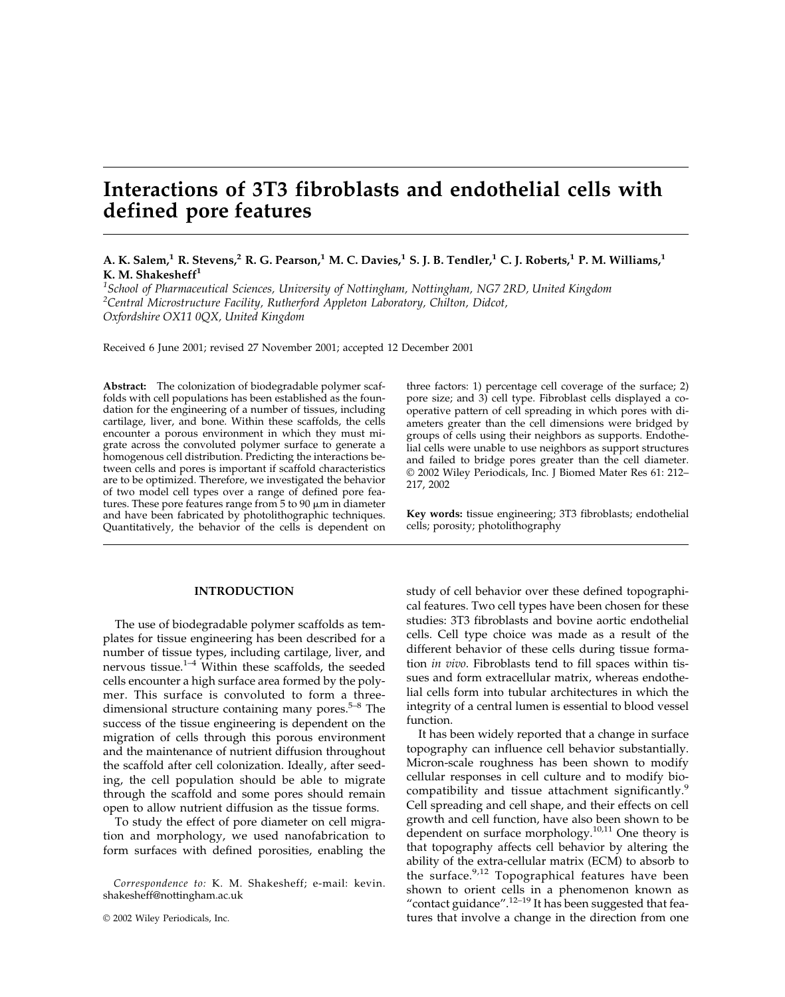# **Interactions of 3T3 fibroblasts and endothelial cells with defined pore features**

# **A. K. Salem,1 R. Stevens,2 R. G. Pearson,1 M. C. Davies,1 S. J. B. Tendler,1 C. J. Roberts,1 P. M. Williams,1 K. M. Shakesheff1**

*1 School of Pharmaceutical Sciences, University of Nottingham, Nottingham, NG7 2RD, United Kingdom 2 Central Microstructure Facility, Rutherford Appleton Laboratory, Chilton, Didcot, Oxfordshire OX11 0QX, United Kingdom*

Received 6 June 2001; revised 27 November 2001; accepted 12 December 2001

**Abstract:** The colonization of biodegradable polymer scaffolds with cell populations has been established as the foundation for the engineering of a number of tissues, including cartilage, liver, and bone. Within these scaffolds, the cells encounter a porous environment in which they must migrate across the convoluted polymer surface to generate a homogenous cell distribution. Predicting the interactions between cells and pores is important if scaffold characteristics are to be optimized. Therefore, we investigated the behavior of two model cell types over a range of defined pore features. These pore features range from  $5$  to  $90 \mu m$  in diameter and have been fabricated by photolithographic techniques. Quantitatively, the behavior of the cells is dependent on

#### **INTRODUCTION**

The use of biodegradable polymer scaffolds as templates for tissue engineering has been described for a number of tissue types, including cartilage, liver, and nervous tissue.1–4 Within these scaffolds, the seeded cells encounter a high surface area formed by the polymer. This surface is convoluted to form a threedimensional structure containing many pores. $5-8$  The success of the tissue engineering is dependent on the migration of cells through this porous environment and the maintenance of nutrient diffusion throughout the scaffold after cell colonization. Ideally, after seeding, the cell population should be able to migrate through the scaffold and some pores should remain open to allow nutrient diffusion as the tissue forms.

To study the effect of pore diameter on cell migration and morphology, we used nanofabrication to form surfaces with defined porosities, enabling the

*Correspondence to:* K. M. Shakesheff; e-mail: kevin. shakesheff@nottingham.ac.uk

three factors: 1) percentage cell coverage of the surface; 2) pore size; and 3) cell type. Fibroblast cells displayed a cooperative pattern of cell spreading in which pores with diameters greater than the cell dimensions were bridged by groups of cells using their neighbors as supports. Endothelial cells were unable to use neighbors as support structures and failed to bridge pores greater than the cell diameter. © 2002 Wiley Periodicals, Inc. J Biomed Mater Res 61: 212– 217, 2002

**Key words:** tissue engineering; 3T3 fibroblasts; endothelial cells; porosity; photolithography

study of cell behavior over these defined topographical features. Two cell types have been chosen for these studies: 3T3 fibroblasts and bovine aortic endothelial cells. Cell type choice was made as a result of the different behavior of these cells during tissue formation *in vivo*. Fibroblasts tend to fill spaces within tissues and form extracellular matrix, whereas endothelial cells form into tubular architectures in which the integrity of a central lumen is essential to blood vessel function.

It has been widely reported that a change in surface topography can influence cell behavior substantially. Micron-scale roughness has been shown to modify cellular responses in cell culture and to modify biocompatibility and tissue attachment significantly.<sup>9</sup> Cell spreading and cell shape, and their effects on cell growth and cell function, have also been shown to be dependent on surface morphology.<sup>10,11</sup> One theory is that topography affects cell behavior by altering the ability of the extra-cellular matrix (ECM) to absorb to the surface.<sup>9,12</sup> Topographical features have been shown to orient cells in a phenomenon known as "contact guidance".12–19 It has been suggested that features that involve a change in the direction from one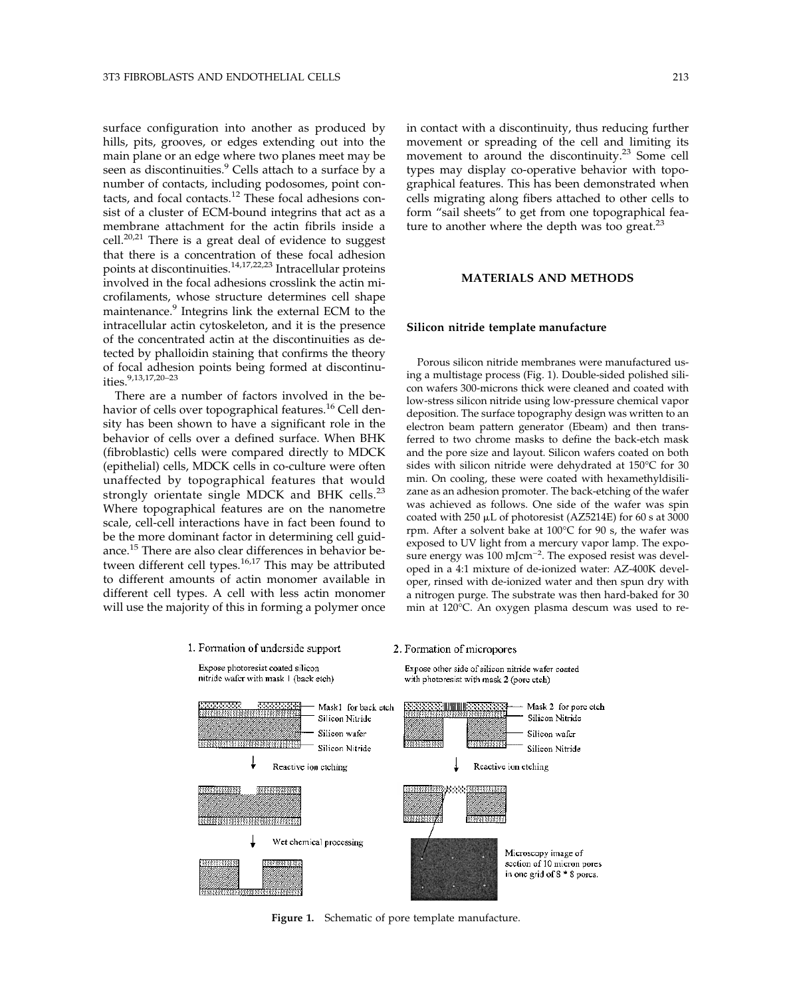surface configuration into another as produced by hills, pits, grooves, or edges extending out into the main plane or an edge where two planes meet may be seen as discontinuities.<sup>9</sup> Cells attach to a surface by a number of contacts, including podosomes, point contacts, and focal contacts.<sup>12</sup> These focal adhesions consist of a cluster of ECM-bound integrins that act as a membrane attachment for the actin fibrils inside a cell.<sup>20,21</sup> There is a great deal of evidence to suggest that there is a concentration of these focal adhesion points at discontinuities. $14,17,22,23$  Intracellular proteins involved in the focal adhesions crosslink the actin microfilaments, whose structure determines cell shape maintenance.<sup>9</sup> Integrins link the external ECM to the intracellular actin cytoskeleton, and it is the presence of the concentrated actin at the discontinuities as detected by phalloidin staining that confirms the theory of focal adhesion points being formed at discontinuities.  $9,13,17,20-23$ 

There are a number of factors involved in the behavior of cells over topographical features.<sup>16</sup> Cell density has been shown to have a significant role in the behavior of cells over a defined surface. When BHK (fibroblastic) cells were compared directly to MDCK (epithelial) cells, MDCK cells in co-culture were often unaffected by topographical features that would strongly orientate single MDCK and BHK cells.<sup>23</sup> Where topographical features are on the nanometre scale, cell-cell interactions have in fact been found to be the more dominant factor in determining cell guidance.<sup>15</sup> There are also clear differences in behavior between different cell types. $16,17$  This may be attributed to different amounts of actin monomer available in different cell types. A cell with less actin monomer will use the majority of this in forming a polymer once in contact with a discontinuity, thus reducing further movement or spreading of the cell and limiting its movement to around the discontinuity.<sup>23</sup> Some cell types may display co-operative behavior with topographical features. This has been demonstrated when cells migrating along fibers attached to other cells to form "sail sheets" to get from one topographical feature to another where the depth was too great.<sup>23</sup>

# **MATERIALS AND METHODS**

#### **Silicon nitride template manufacture**

Porous silicon nitride membranes were manufactured using a multistage process (Fig. 1). Double-sided polished silicon wafers 300-microns thick were cleaned and coated with low-stress silicon nitride using low-pressure chemical vapor deposition. The surface topography design was written to an electron beam pattern generator (Ebeam) and then transferred to two chrome masks to define the back-etch mask and the pore size and layout. Silicon wafers coated on both sides with silicon nitride were dehydrated at 150°C for 30 min. On cooling, these were coated with hexamethyldisilizane as an adhesion promoter. The back-etching of the wafer was achieved as follows. One side of the wafer was spin coated with  $250 \mu L$  of photoresist (AZ5214E) for 60 s at 3000 rpm. After a solvent bake at 100°C for 90 s, the wafer was exposed to UV light from a mercury vapor lamp. The exposure energy was 100 mJcm<sup>-2</sup>. The exposed resist was developed in a 4:1 mixture of de-ionized water: AZ-400K developer, rinsed with de-ionized water and then spun dry with a nitrogen purge. The substrate was then hard-baked for 30 min at 120°C. An oxygen plasma descum was used to re-



**Figure 1.** Schematic of pore template manufacture.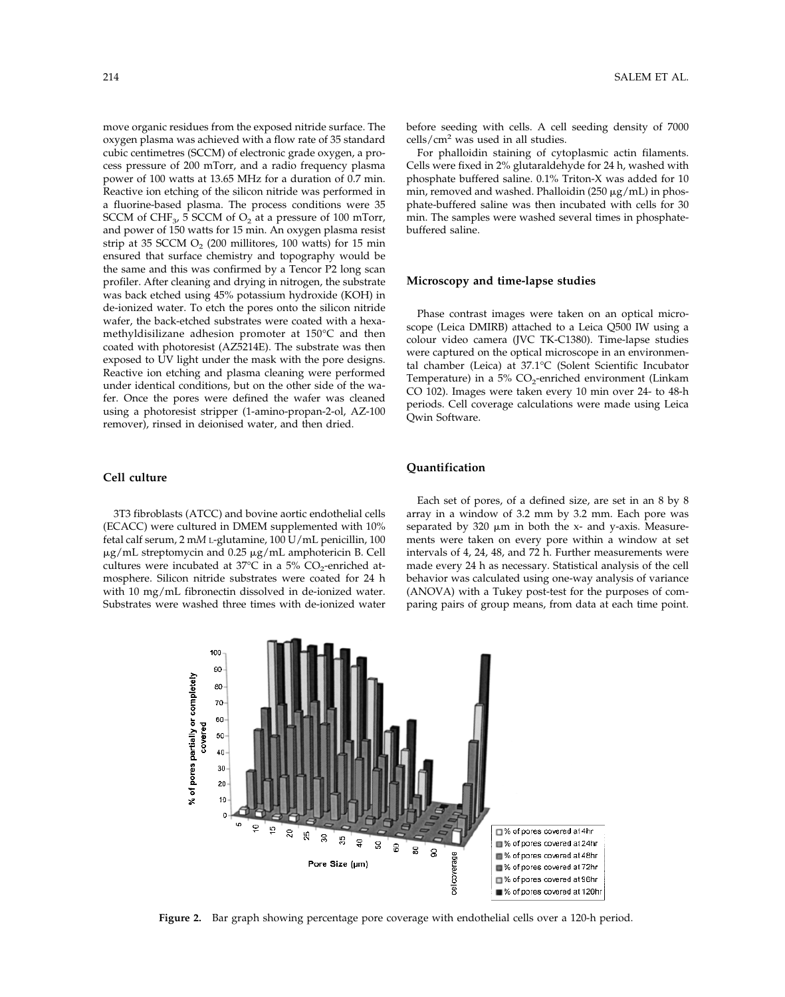move organic residues from the exposed nitride surface. The oxygen plasma was achieved with a flow rate of 35 standard cubic centimetres (SCCM) of electronic grade oxygen, a process pressure of 200 mTorr, and a radio frequency plasma power of 100 watts at 13.65 MHz for a duration of 0.7 min. Reactive ion etching of the silicon nitride was performed in a fluorine-based plasma. The process conditions were 35 SCCM of CHF<sub>3</sub>, 5 SCCM of  $O_2$  at a pressure of 100 mTorr, and power of 150 watts for 15 min. An oxygen plasma resist strip at 35 SCCM  $O_2$  (200 millitores, 100 watts) for 15 min ensured that surface chemistry and topography would be the same and this was confirmed by a Tencor P2 long scan profiler. After cleaning and drying in nitrogen, the substrate was back etched using 45% potassium hydroxide (KOH) in de-ionized water. To etch the pores onto the silicon nitride wafer, the back-etched substrates were coated with a hexamethyldisilizane adhesion promoter at 150°C and then coated with photoresist (AZ5214E). The substrate was then exposed to UV light under the mask with the pore designs. Reactive ion etching and plasma cleaning were performed under identical conditions, but on the other side of the wafer. Once the pores were defined the wafer was cleaned using a photoresist stripper (1-amino-propan-2-ol, AZ-100 remover), rinsed in deionised water, and then dried.

# **Cell culture**

3T3 fibroblasts (ATCC) and bovine aortic endothelial cells (ECACC) were cultured in DMEM supplemented with 10% fetal calf serum, 2 m*M* L-glutamine, 100 U/mL penicillin, 100  $\mu$ g/mL streptomycin and 0.25  $\mu$ g/mL amphotericin B. Cell cultures were incubated at  $37^{\circ}$ C in a  $5\%$  CO<sub>2</sub>-enriched atmosphere. Silicon nitride substrates were coated for 24 h with 10 mg/mL fibronectin dissolved in de-ionized water. Substrates were washed three times with de-ionized water before seeding with cells. A cell seeding density of 7000 cells/ $\rm cm^2$  was used in all studies.

For phalloidin staining of cytoplasmic actin filaments. Cells were fixed in 2% glutaraldehyde for 24 h, washed with phosphate buffered saline. 0.1% Triton-X was added for 10 min, removed and washed. Phalloidin (250  $\mu$ g/mL) in phosphate-buffered saline was then incubated with cells for 30 min. The samples were washed several times in phosphatebuffered saline.

#### **Microscopy and time-lapse studies**

Phase contrast images were taken on an optical microscope (Leica DMIRB) attached to a Leica Q500 IW using a colour video camera (JVC TK-C1380). Time-lapse studies were captured on the optical microscope in an environmental chamber (Leica) at 37.1°C (Solent Scientific Incubator Temperature) in a 5%  $CO_2$ -enriched environment (Linkam CO 102). Images were taken every 10 min over 24- to 48-h periods. Cell coverage calculations were made using Leica Qwin Software.

# **Quantification**

Each set of pores, of a defined size, are set in an 8 by 8 array in a window of 3.2 mm by 3.2 mm. Each pore was separated by  $320 \mu m$  in both the x- and y-axis. Measurements were taken on every pore within a window at set intervals of 4, 24, 48, and 72 h. Further measurements were made every 24 h as necessary. Statistical analysis of the cell behavior was calculated using one-way analysis of variance (ANOVA) with a Tukey post-test for the purposes of comparing pairs of group means, from data at each time point.



**Figure 2.** Bar graph showing percentage pore coverage with endothelial cells over a 120-h period.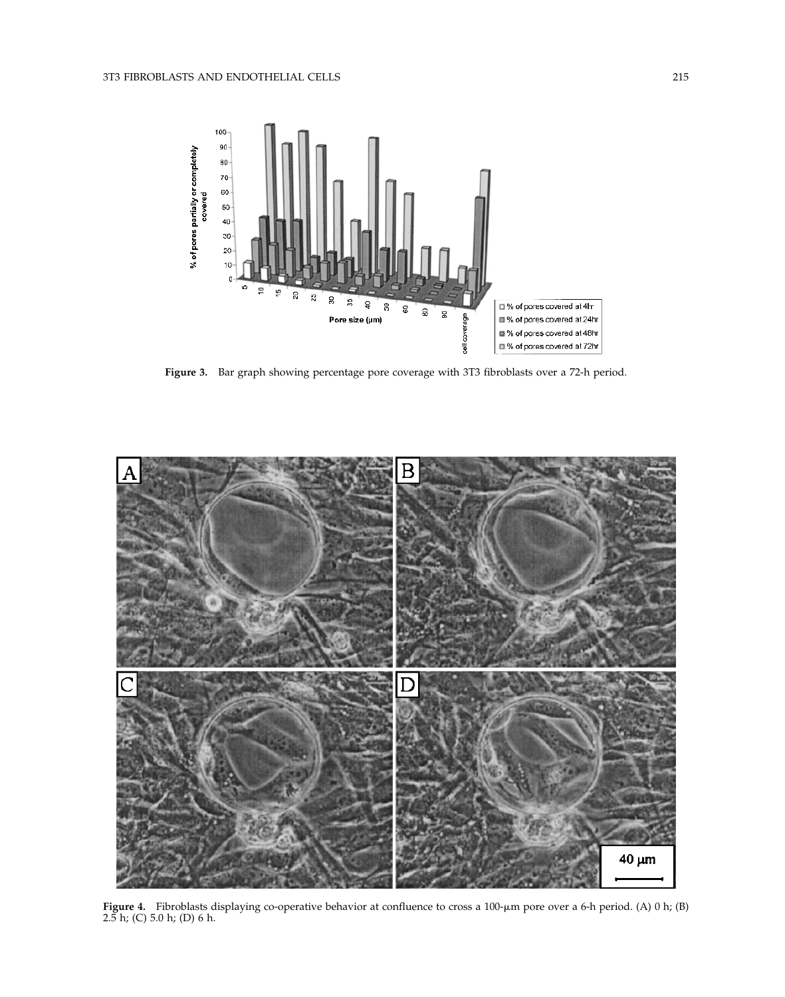

**Figure 3.** Bar graph showing percentage pore coverage with 3T3 fibroblasts over a 72-h period.



**Figure 4.** Fibroblasts displaying co-operative behavior at confluence to cross a 100-µm pore over a 6-h period. (A) 0 h; (B) 2.5 h; (C) 5.0 h; (D) 6 h.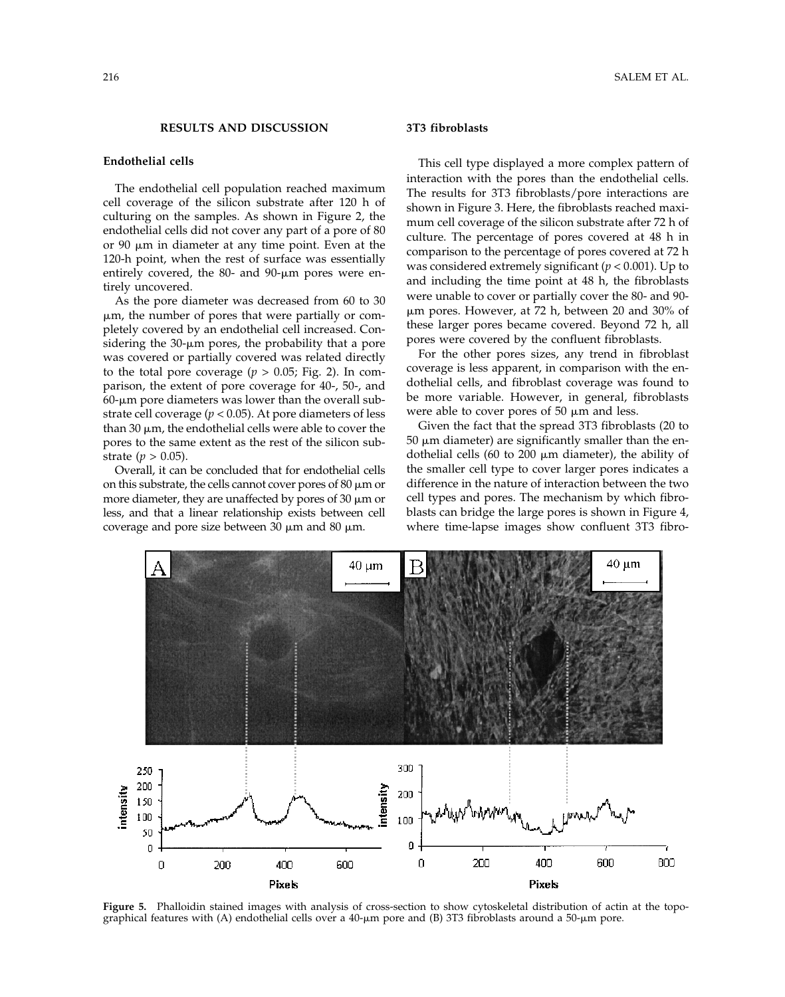# **RESULTS AND DISCUSSION**

# **Endothelial cells**

The endothelial cell population reached maximum cell coverage of the silicon substrate after 120 h of culturing on the samples. As shown in Figure 2, the endothelial cells did not cover any part of a pore of 80 or 90  $\mu$ m in diameter at any time point. Even at the 120-h point, when the rest of surface was essentially entirely covered, the  $80-$  and  $90-$ µm pores were entirely uncovered.

As the pore diameter was decreased from 60 to 30 m, the number of pores that were partially or completely covered by an endothelial cell increased. Considering the  $30$ - $\mu$ m pores, the probability that a pore was covered or partially covered was related directly to the total pore coverage  $(p > 0.05;$  Fig. 2). In comparison, the extent of pore coverage for 40-, 50-, and  $60$ - $\mu$ m pore diameters was lower than the overall substrate cell coverage ( $p < 0.05$ ). At pore diameters of less than 30  $\mu$ m, the endothelial cells were able to cover the pores to the same extent as the rest of the silicon substrate ( $p > 0.05$ ).

Overall, it can be concluded that for endothelial cells on this substrate, the cells cannot cover pores of  $80 \mu m$  or more diameter, they are unaffected by pores of  $30 \mu m$  or less, and that a linear relationship exists between cell coverage and pore size between 30  $\mu$ m and 80  $\mu$ m.

### **3T3 fibroblasts**

This cell type displayed a more complex pattern of interaction with the pores than the endothelial cells. The results for 3T3 fibroblasts/pore interactions are shown in Figure 3. Here, the fibroblasts reached maximum cell coverage of the silicon substrate after 72 h of culture. The percentage of pores covered at 48 h in comparison to the percentage of pores covered at 72 h was considered extremely significant (*p* < 0.001). Up to and including the time point at 48 h, the fibroblasts were unable to cover or partially cover the 80- and 90 m pores. However, at 72 h, between 20 and 30% of these larger pores became covered. Beyond 72 h, all pores were covered by the confluent fibroblasts.

For the other pores sizes, any trend in fibroblast coverage is less apparent, in comparison with the endothelial cells, and fibroblast coverage was found to be more variable. However, in general, fibroblasts were able to cover pores of 50  $\mu$ m and less.

Given the fact that the spread 3T3 fibroblasts (20 to  $50 \mu m$  diameter) are significantly smaller than the endothelial cells (60 to 200  $\mu$ m diameter), the ability of the smaller cell type to cover larger pores indicates a difference in the nature of interaction between the two cell types and pores. The mechanism by which fibroblasts can bridge the large pores is shown in Figure 4, where time-lapse images show confluent 3T3 fibro-



**Figure 5.** Phalloidin stained images with analysis of cross-section to show cytoskeletal distribution of actin at the topographical features with (A) endothelial cells over a  $40$ - $\mu$ m pore and (B) 3T3 fibroblasts around a  $50$ - $\mu$ m pore.